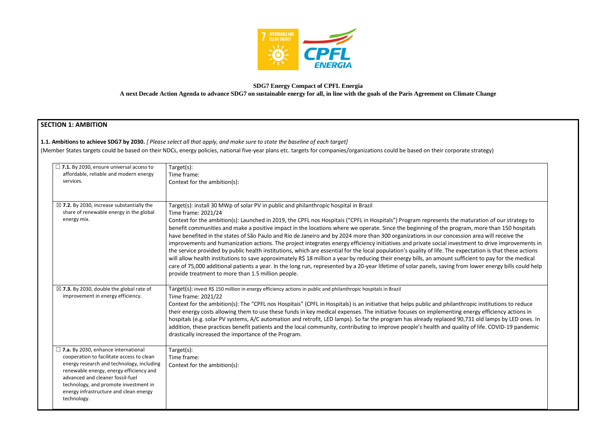

## **SDG7 Energy Compact of CPFL Energia A next Decade Action Agenda to advance SDG7 on sustainable energy for all, in line with the goals of the Paris Agreement on Climate Change**

## **SECTION 1: AMBITION**

#### **1.1. Ambitions to achieve SDG7 by 2030.** *[ Please select all that apply, and make sure to state the baseline of each target]*

(Member States targets could be based on their NDCs, energy policies, national five-year plans etc. targets for companies/organizations could be based on their corporate strategy)

| $\Box$ 7.1. By 2030, ensure universal access to<br>affordable, reliable and modern energy<br>services.                                                                                                                                                                                                                | Target(s):<br>Time frame:<br>Context for the ambition(s):                                                                                                                                                                                                                                                                                                                                                                                                                                                                                                                                                                                                                                                                                                                                                                                                                                                                                                                                                                                                     |
|-----------------------------------------------------------------------------------------------------------------------------------------------------------------------------------------------------------------------------------------------------------------------------------------------------------------------|---------------------------------------------------------------------------------------------------------------------------------------------------------------------------------------------------------------------------------------------------------------------------------------------------------------------------------------------------------------------------------------------------------------------------------------------------------------------------------------------------------------------------------------------------------------------------------------------------------------------------------------------------------------------------------------------------------------------------------------------------------------------------------------------------------------------------------------------------------------------------------------------------------------------------------------------------------------------------------------------------------------------------------------------------------------|
| $\boxtimes$ 7.2. By 2030, increase substantially the<br>share of renewable energy in the global<br>energy mix.                                                                                                                                                                                                        | Target(s): install 30 MWp of solar PV in public and philanthropic hospital in Brazil<br>Time frame: 2021/24<br>Context for the ambition(s): Launched in 2019, the CPFL nos Hospitais ("CPFL in Hospitals") Program represents the m<br>benefit communities and make a positive impact in the locations where we operate. Since the beginning of the progra<br>have benefited in the states of São Paulo and Rio de Janeiro and by 2024 more than 300 organizations in our concessi<br>improvements and humanization actions. The project integrates energy efficiency initiatives and private social investr<br>the service provided by public health institutions, which are essential for the local population's quality of life. The exp<br>will allow health institutions to save approximately R\$ 18 million a year by reducing their energy bills, an amount suffi<br>care of 75,000 additional patients a year. In the long run, represented by a 20-year lifetime of solar panels, saving fror<br>provide treatment to more than 1.5 million people. |
| $\boxtimes$ 7.3. By 2030, double the global rate of<br>improvement in energy efficiency.                                                                                                                                                                                                                              | Target(s): invest R\$ 150 million in energy efficiency actions in public and philanthropic hospitals in Brazil<br>Time frame: 2021/22<br>Context for the ambition(s): The "CPFL nos Hospitais" (CPFL in Hospitals) is an initiative that helps public and philanthi<br>their energy costs allowing them to use these funds in key medical expenses. The initiative focuses on implementing e<br>hospitals (e.g. solar PV systems, A/C automation and retrofit, LED lamps). So far the program has already replaced 90,<br>addition, these practices benefit patients and the local community, contributing to improve people's health and qualit<br>drastically increased the importance of the Program.                                                                                                                                                                                                                                                                                                                                                      |
| $\Box$ 7.a. By 2030, enhance international<br>cooperation to facilitate access to clean<br>energy research and technology, including<br>renewable energy, energy efficiency and<br>advanced and cleaner fossil-fuel<br>technology, and promote investment in<br>energy infrastructure and clean energy<br>technology. | Target(s):<br>Time frame:<br>Context for the ambition(s):                                                                                                                                                                                                                                                                                                                                                                                                                                                                                                                                                                                                                                                                                                                                                                                                                                                                                                                                                                                                     |

naturation of our strategy to am, more than 150 hospitals ion area will receive the ment to drive improvements in bectation is that these actions ficient to pay for the medical m lower energy bills could help

ropic institutions to reduce energy efficiency actions in ,731 old lamps by LED ones. In ity of life. COVID-19 pandemic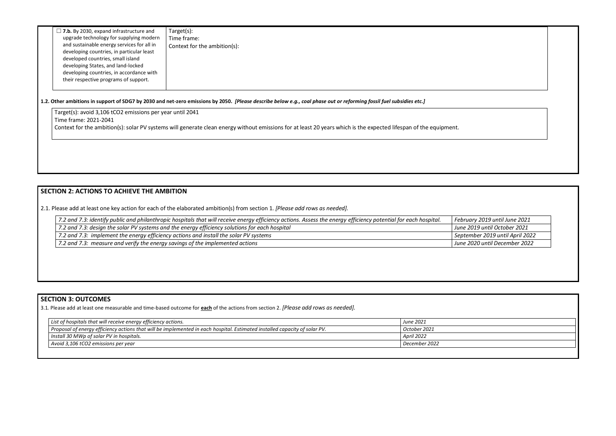| $\Box$ 7.b. By 2030, expand infrastructure and<br>upgrade technology for supplying modern<br>and sustainable energy services for all in<br>developing countries, in particular least<br>developed countries, small island<br>developing States, and land-locked<br>developing countries, in accordance with<br>their respective programs of support. | Target(s):<br>Time frame:<br>Context for the ambition(s): |
|------------------------------------------------------------------------------------------------------------------------------------------------------------------------------------------------------------------------------------------------------------------------------------------------------------------------------------------------------|-----------------------------------------------------------|
|------------------------------------------------------------------------------------------------------------------------------------------------------------------------------------------------------------------------------------------------------------------------------------------------------------------------------------------------------|-----------------------------------------------------------|

Target(s): avoid 3,106 tCO2 emissions per year until 2041 Time frame: 2021-2041 Context for the ambition(s): solar PV systems will generate clean energy without emissions for at least 20 years which is the expected lifespan of the equipment.

#### **1.2. Other ambitions in support of SDG7 by 2030 and net-zero emissions by 2050.** *[Please describe below e.g., coal phase out or reforming fossil fuel subsidies etc.]*

### **SECTION 2: ACTIONS TO ACHIEVE THE AMBITION**

2.1. Please add at least one key action for each of the elaborated ambition(s) from section 1. *[Please add rows as needed].*

| 7.2 and 7.3: identify public and philanthropic hospitals that will receive energy efficiency actions. Assess the energy efficiency potential for each hospital. | Febr |
|-----------------------------------------------------------------------------------------------------------------------------------------------------------------|------|
| 7.2 and 7.3: design the solar PV systems and the energy efficiency solutions for each hospital                                                                  | June |
| 7.2 and 7.3: implement the energy efficiency actions and install the solar PV systems                                                                           | Sept |
| 7.2 and 7.3: measure and verify the energy savings of the implemented actions                                                                                   | June |

*7.2 and 7.3: identify public and philanthropic hospitals that will receive energy efficiency actions. Assess the energy efficiency potential for each hospital. February 2019 until June 2021 7.2 and 7.3: design the solar PV systems and the energy efficiency solutions for each hospital June 2019 until October 2021 7.2 and 7.3: implement the energy efficiency actions and install the solar PV systems September 2019 until April 2022 7.2 and 7.3: measure and verify the energy savings of the implemented actions June 2020 until December 2022*

## **SECTION 3: OUTCOMES**

3.1*.* Please add at least one measurable and time-based outcome for **each** of the actions from section 2. *[Please add rows as needed].*

| List of hospitals that will receive energy efficiency actions.                                                             | <b>June 2021</b> |
|----------------------------------------------------------------------------------------------------------------------------|------------------|
| Proposal of energy efficiency actions that will be implemented in each hospital. Estimated installed capacity of solar PV. | October 2021     |
| Install 30 MWp of solar PV in hospitals.                                                                                   | April 2022       |
| Avoid 3,106 tCO2 emissions per year                                                                                        | December 2022    |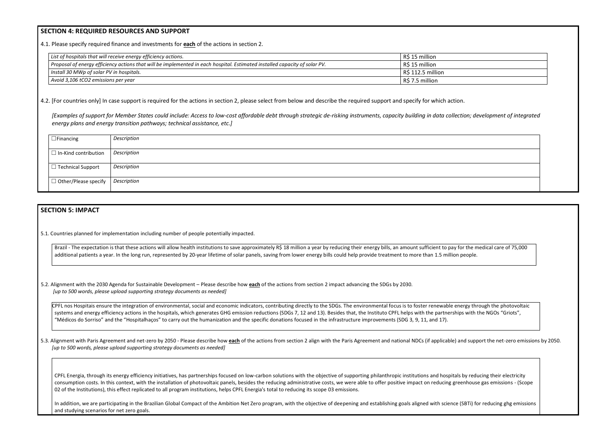#### **SECTION 4: REQUIRED RESOURCES AND SUPPORT**

4.1. Please specify required finance and investments for **each** of the actions in section 2.

| $\frac{1}{1}$ List of hospitals that will receive energy efficiency actions.                                                       | R\$ 15 million    |
|------------------------------------------------------------------------------------------------------------------------------------|-------------------|
| $\perp$ Proposal of energy efficiency actions that will be implemented in each hospital. Estimated installed capacity of solar PV. | R\$ 15 million    |
| Install 30 MWp of solar PV in hospitals.                                                                                           | R\$ 112.5 million |
| Avoid 3,106 tCO2 emissions per year                                                                                                | R\$ 7.5 million   |

4.2. [For countries only] In case support is required for the actions in section 2, please select from below and describe the required support and specify for which action.

*[Examples of support for Member States could include: Access to low-cost affordable debt through strategic de-risking instruments, capacity building in data collection; development of integrated energy plans and energy transition pathways; technical assistance, etc.]*

| $\Box$ Financing            | Description |
|-----------------------------|-------------|
| $\Box$ In-Kind contribution | Description |
| $\Box$ Technical Support    | Description |
| $\Box$ Other/Please specify | Description |
|                             |             |

#### **SECTION 5: IMPACT**

5.1. Countries planned for implementation including number of people potentially impacted.

Brazil - The expectation is that these actions will allow health institutions to save approximately R\$ 18 million a year by reducing their energy bills, an amount sufficient to pay for the medical care of 75,000 additional patients a year. In the long run, represented by 20-year lifetime of solar panels, saving from lower energy bills could help provide treatment to more than 1.5 million people.

CPFL nos Hospitais ensure the integration of environmental, social and economic indicators, contributing directly to the SDGs. The environmental focus is to foster renewable energy through the photovoltaic systems and energy efficiency actions in the hospitals, which generates GHG emission reductions (SDGs 7, 12 and 13). Besides that, the Instituto CPFL helps with the partnerships with the NGOs "Griots", "Médicos do Sorriso" and the "Hospitalhaços" to carry out the humanization and the specific donations focused in the infrastructure improvements (SDG 3, 9, 11, and 17).

5.3. Alignment with Paris Agreement and net-zero by 2050 - Please describe how each of the actions from section 2 align with the Paris Agreement and national NDCs (if applicable) and support the net-zero emissions by 2050. *[up to 500 words, please upload supporting strategy documents as needed]* 

CPFL Energia, through its energy efficiency initiatives, has partnerships focused on low-carbon solutions with the objective of supporting philanthropic institutions and hospitals by reducing their electricity consumption costs. In this context, with the installation of photovoltaic panels, besides the reducing administrative costs, we were able to offer positive impact on reducing greenhouse gas emissions - (Scope 02 of the Institutions), this effect replicated to all program institutions, helps CPFL Energia's total to reducing its scope 03 emissions.

5.2. Alignment with the 2030 Agenda for Sustainable Development – Please describe how **each** of the actions from section 2 impact advancing the SDGs by 2030. *[up to 500 words, please upload supporting strategy documents as needed]* 

In addition, we are participating in the Brazilian Global Compact of the Ambition Net Zero program, with the objective of deepening and establishing goals aligned with science (SBTi) for reducing ghg emissions and studying scenarios for net zero goals.

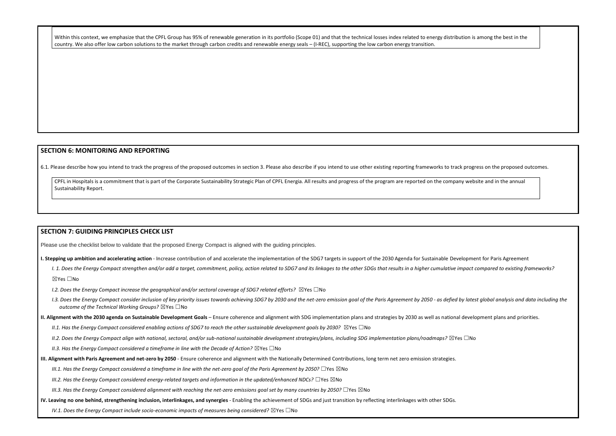Within this context, we emphasize that the CPFL Group has 95% of renewable generation in its portfolio (Scope 01) and that the technical losses index related to energy distribution is among the best in the country. We also offer low carbon solutions to the market through carbon credits and renewable energy seals – (I-REC), supporting the low carbon energy transition.

#### **SECTION 6: MONITORING AND REPORTING**

6.1. Please describe how you intend to track the progress of the proposed outcomes in section 3. Please also describe if you intend to use other existing reporting frameworks to track progress on the proposed outcomes.

CPFL in Hospitals is a commitment that is part of the Corporate Sustainability Strategic Plan of CPFL Energia. All results and progress of the program are reported on the company website and in the annual Sustainability Report.

#### **SECTION 7: GUIDING PRINCIPLES CHECK LIST**

Please use the checklist below to validate that the proposed Energy Compact is aligned with the guiding principles.

- **I. Stepping up ambition and accelerating action** Increase contribution of and accelerate the implementation of the SDG7 targets in support of the 2030 Agenda for Sustainable Development for Paris Agreement
	- I. 1. Does the Energy Compact strengthen and/or add a target, commitment, policy, action related to SDG7 and its linkages to the other SDGs that results in a higher cumulative impact compared to existing frameworks? ☒Yes ☐No
	- *I.2. Does the Energy Compact increase the geographical and/or sectoral coverage of SDG7 related efforts?* ⊠Yes □No
	- I.3. Does the Energy Compact consider inclusion of key priority issues towards achieving SDG7 by 2030 and the net-zero emission goal of the Paris Agreement by 2050 as defied by latest global analysis and data including t *outcome of the Technical Working Groups?* ☒Yes ☐No
- **II. Alignment with the 2030 agenda on Sustainable Development Goals** Ensure coherence and alignment with SDG implementation plans and strategies by 2030 as well as national development plans and priorities.
	- *II.1. Has the Energy Compact considered enabling actions of SDG7 to reach the other sustainable development goals by 2030?* ⊠Yes □No
	- *II.2. Does the Energy Compact align with national, sectoral, and/or sub-national sustainable development strategies/plans, including SDG implementation plans/roadmaps?* ☒Yes ☐No
	- *II.3. Has the Energy Compact considered a timeframe in line with the Decade of Action?* ⊠Yes □No
- **III. Alignment with Paris Agreement and net-zero by 2050** Ensure coherence and alignment with the Nationally Determined Contributions, long term net zero emission strategies.
	- *III.1. Has the Energy Compact considered a timeframe in line with the net-zero goal of the Paris Agreement by 2050?* □Yes ⊠No
	- *III.2. Has the Energy Compact considered energy-related targets and information in the updated/enhanced NDCs?* ☐Yes ☒No
	- *III.3. Has the Energy Compact considered alignment with reaching the net-zero emissions goal set by many countries by 2050?* □Yes ⊠No
- **IV. Leaving no one behind, strengthening inclusion, interlinkages, and synergies** Enabling the achievement of SDGs and just transition by reflecting interlinkages with other SDGs.

*IV.1. Does the Energy Compact include socio-economic impacts of measures being considered?* ⊠Yes □No